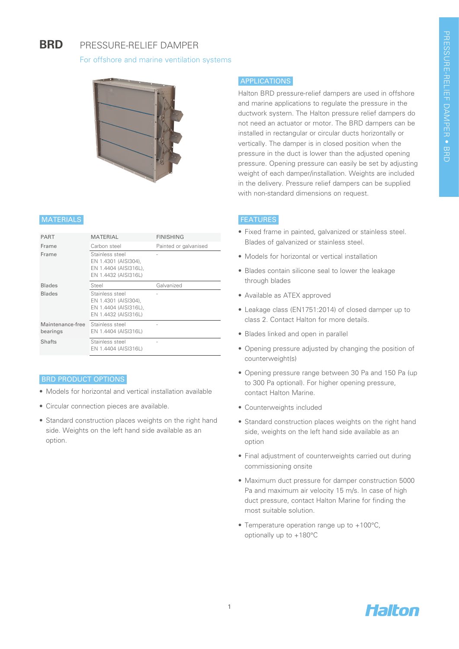#### **BRD**  PRESSURE-RELIEF DAMPER

#### For offshore and marine ventilation systems



## **MATERIALS**

| <b>PART</b>                  | <b>MATERIAL</b>                                                                          | <b>FINISHING</b>      |
|------------------------------|------------------------------------------------------------------------------------------|-----------------------|
| Frame                        | Carbon steel                                                                             | Painted or galvanised |
| <b>Frame</b>                 | Stainless steel<br>EN 1.4301 (AISI304).<br>EN 1.4404 (AISI316L).<br>EN 1.4432 (AISI316L) |                       |
| <b>Blades</b>                | Steel                                                                                    | Galvanized            |
| <b>Blades</b>                | Stainless steel<br>EN 1.4301 (AISI304),<br>EN 1.4404 (AISI316L).<br>EN 1.4432 (AISI316L) |                       |
| Maintenance-free<br>bearings | Stainless steel<br>EN 1.4404 (AISI316L)                                                  |                       |
| <b>Shafts</b>                | Stainless steel<br>EN 1.4404 (AISI316L)                                                  |                       |

## BRD PRODUCT OPTIONS

- Models for horizontal and vertical installation available
- Circular connection pieces are available.
- Standard construction places weights on the right hand side. Weights on the left hand side available as an option.

## **APPLICATIONS**

Halton BRD pressure-relief dampers are used in offshore and marine applications to regulate the pressure in the ductwork system. The Halton pressure relief dampers do not need an actuator or motor. The BRD dampers can be installed in rectangular or circular ducts horizontally or vertically. The damper is in closed position when the pressure in the duct is lower than the adjusted opening pressure. Opening pressure can easily be set by adjusting weight of each damper/installation. Weights are included in the delivery. Pressure relief dampers can be supplied with non-standard dimensions on request.

## **FEATURES**

- Fixed frame in painted, galvanized or stainless steel. Blades of galvanized or stainless steel.
- Models for horizontal or vertical installation
- Blades contain silicone seal to lower the leakage through blades
- Available as ATEX approved
- Leakage class (EN1751:2014) of closed damper up to class 2. Contact Halton for more details.
- Blades linked and open in parallel
- Opening pressure adjusted by changing the position of counterweight(s)
- Opening pressure range between 30 Pa and 150 Pa (up to 300 Pa optional). For higher opening pressure, contact Halton Marine.
- Counterweights included
- Standard construction places weights on the right hand side, weights on the left hand side available as an option
- Final adjustment of counterweights carried out during commissioning onsite
- Maximum duct pressure for damper construction 5000 Pa and maximum air velocity 15 m/s. In case of high duct pressure, contact Halton Marine for finding the most suitable solution.
- Temperature operation range up to +100°C, optionally up to +180°C

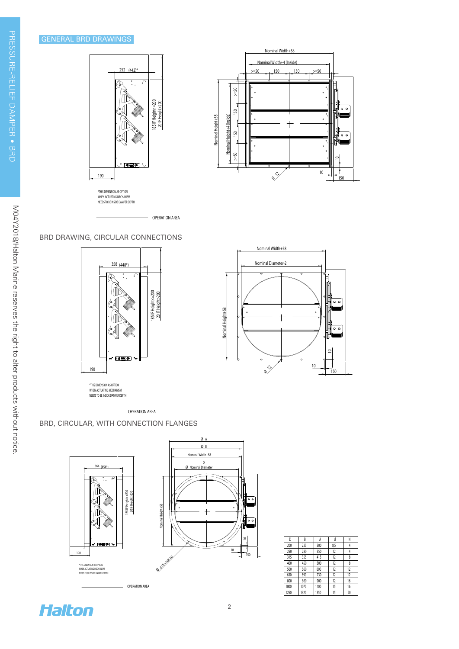# GENERAL BRD DRAWINGS



WHEN ACTUATING MECHANISM NEEDS TO BE INSIDE DAMPER DEPTH

- OPERATION AREA



 $550$ 

 $\epsilon$ 

BRD DRAWING, CIRCULAR CONNECTIONS





 $=50$  150  $\frac{150}{150}$   $> =50$ inal Width+4 (Inside) Nominal Width+58

150

 $\equiv$ 

\*THIS DIMENSION AS OPTION WHEN ACTUATING MECHANISM NEEDS TO BE INSIDE DAMPER DEPTH

OPERATION AREA

BRD, CIRCULAR, WITH CONNECTION FLANGES



| D    | B    | A    | d   | Ν  |
|------|------|------|-----|----|
| 200  | 225  | 300  | 8,5 | 4  |
| 250  | 280  | 350  | 12  | 4  |
| 315  | 355  | 415  | 12  | 8  |
| 400  | 450  | 500  | 12  | 8  |
| 500  | 560  | 600  | 12  | 12 |
| 630  | 690  | 730  | 12  | 12 |
| 800  | 860  | 900  | 12  | 16 |
| 1000 | 1070 | 1100 | 15  | 16 |
| 1250 | 1320 | 1350 | 15  | 20 |

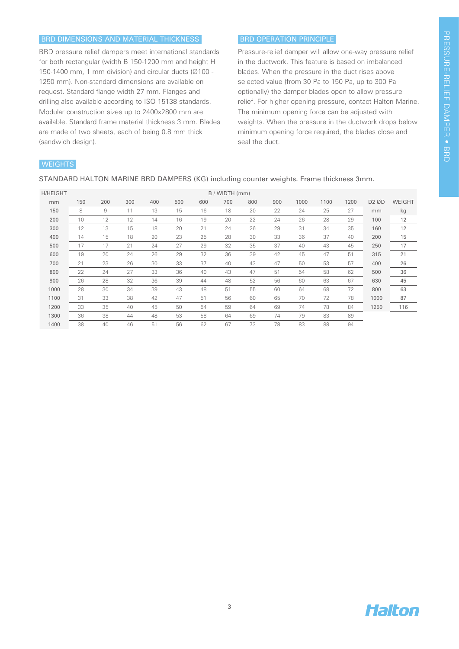## BRD DIMENSIONS AND MATERIAL THICKNESS

BRD pressure relief dampers meet international standards for both rectangular (width B 150-1200 mm and height H 150-1400 mm, 1 mm division) and circular ducts (Ø100 - 1250 mm). Non-standard dimensions are available on request. Standard flange width 27 mm. Flanges and drilling also available according to ISO 15138 standards. Modular construction sizes up to 2400x2800 mm are available. Standard frame material thickness 3 mm. Blades are made of two sheets, each of being 0.8 mm thick (sandwich design).

# BRD OPERATION PRINCIPLE

Pressure-relief damper will allow one-way pressure relief in the ductwork. This feature is based on imbalanced blades. When the pressure in the duct rises above selected value (from 30 Pa to 150 Pa, up to 300 Pa optionally) the damper blades open to allow pressure relief. For higher opening pressure, contact Halton Marine. The minimum opening force can be adjusted with weights. When the pressure in the ductwork drops below minimum opening force required, the blades close and seal the duct.

## **WEIGHTS**

#### STANDARD HALTON MARINE BRD DAMPERS (KG) including counter weights. Frame thickness 3mm.

| <b>H/HEIGHT</b> |     |     |     |     |     |     | B / WIDTH (mm) |     |     |      |      |      |         |        |
|-----------------|-----|-----|-----|-----|-----|-----|----------------|-----|-----|------|------|------|---------|--------|
| mm              | 150 | 200 | 300 | 400 | 500 | 600 | 700            | 800 | 900 | 1000 | 1100 | 1200 | $D2$ ØD | WEIGHT |
| 150             | 8   | 9   | 11  | 13  | 15  | 16  | 18             | 20  | 22  | 24   | 25   | 27   | mm      | kg     |
| 200             | 10  | 12  | 12  | 14  | 16  | 19  | 20             | 22  | 24  | 26   | 28   | 29   | 100     | 12     |
| 300             | 12  | 13  | 15  | 18  | 20  | 21  | 24             | 26  | 29  | 31   | 34   | 35   | 160     | 12     |
| 400             | 14  | 15  | 18  | 20  | 23  | 25  | 28             | 30  | 33  | 36   | 37   | 40   | 200     | 15     |
| 500             | 17  | 17  | 21  | 24  | 27  | 29  | 32             | 35  | 37  | 40   | 43   | 45   | 250     | 17     |
| 600             | 19  | 20  | 24  | 26  | 29  | 32  | 36             | 39  | 42  | 45   | 47   | 51   | 315     | 21     |
| 700             | 21  | 23  | 26  | 30  | 33  | 37  | 40             | 43  | 47  | 50   | 53   | 57   | 400     | 26     |
| 800             | 22  | 24  | 27  | 33  | 36  | 40  | 43             | 47  | 51  | 54   | 58   | 62   | 500     | 36     |
| 900             | 26  | 28  | 32  | 36  | 39  | 44  | 48             | 52  | 56  | 60   | 63   | 67   | 630     | 45     |
| 1000            | 28  | 30  | 34  | 39  | 43  | 48  | 51             | 55  | 60  | 64   | 68   | 72   | 800     | 63     |
| 1100            | 31  | 33  | 38  | 42  | 47  | 51  | 56             | 60  | 65  | 70   | 72   | 78   | 1000    | 87     |
| 1200            | 33  | 35  | 40  | 45  | 50  | 54  | 59             | 64  | 69  | 74   | 78   | 84   | 1250    | 116    |
| 1300            | 36  | 38  | 44  | 48  | 53  | 58  | 64             | 69  | 74  | 79   | 83   | 89   |         |        |
| 1400            | 38  | 40  | 46  | 51  | 56  | 62  | 67             | 73  | 78  | 83   | 88   | 94   |         |        |
|                 |     |     |     |     |     |     |                |     |     |      |      |      |         |        |